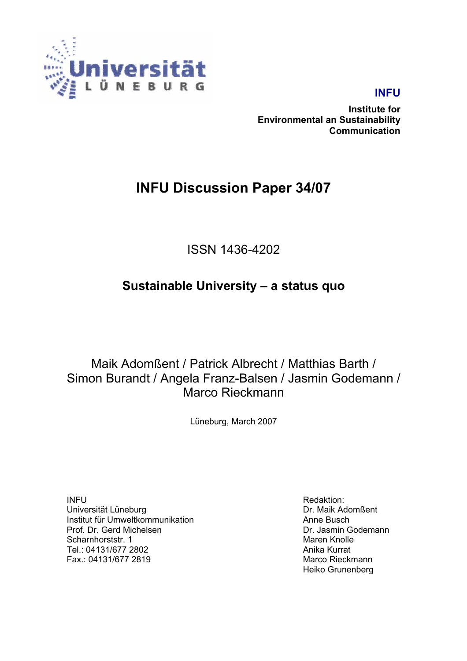

## **INFU**

**Institute for Environmental an Sustainability Communication** 

## **INFU Discussion Paper 34/07**

ISSN 1436-4202

## **Sustainable University – a status quo**

Maik Adomßent / Patrick Albrecht / Matthias Barth / Simon Burandt / Angela Franz-Balsen / Jasmin Godemann / Marco Rieckmann

Lüneburg, March 2007

INFU Universität Lüneburg Institut für Umweltkommunikation Prof. Dr. Gerd Michelsen Scharnhorststr. 1 Tel.: 04131/677 2802 Fax.: 04131/677 2819

Redaktion: Dr. Maik Adomßent Anne Busch Dr. Jasmin Godemann Maren Knolle Anika Kurrat Marco Rieckmann Heiko Grunenberg